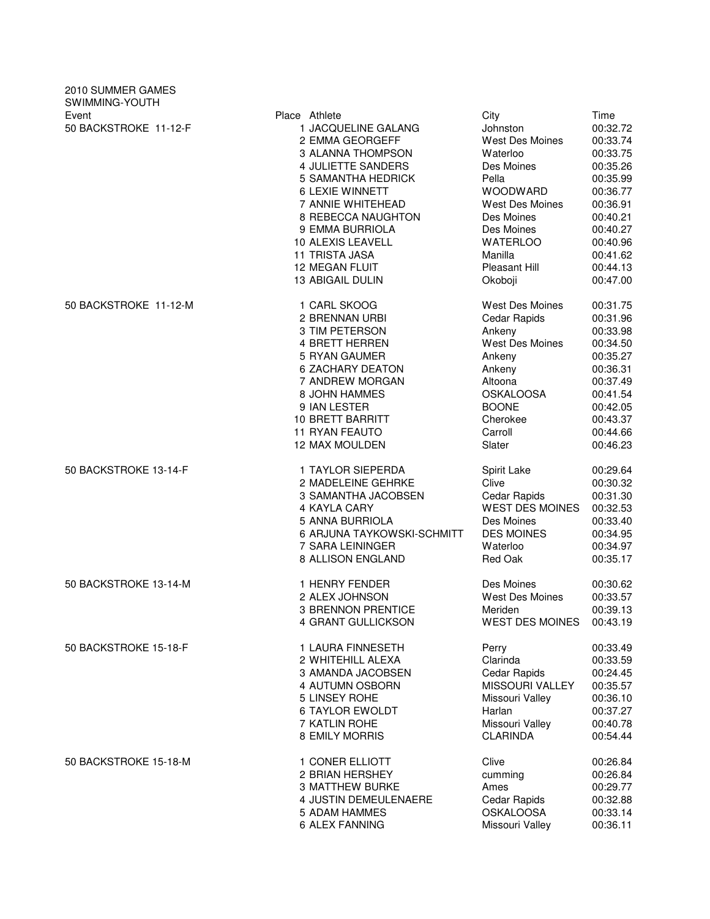| 2010 SUMMER GAMES<br>SWIMMING-YOUTH |                                                                                                                                                                                        |                                                                                                                                   |                                                                                                      |
|-------------------------------------|----------------------------------------------------------------------------------------------------------------------------------------------------------------------------------------|-----------------------------------------------------------------------------------------------------------------------------------|------------------------------------------------------------------------------------------------------|
| Event<br>50 BACKSTROKE 11-12-F      | Place Athlete<br>1 JACQUELINE GALANG<br>2 EMMA GEORGEFF<br>3 ALANNA THOMPSON<br>4 JULIETTE SANDERS<br>5 SAMANTHA HEDRICK<br>6 LEXIE WINNETT<br>7 ANNIE WHITEHEAD<br>8 REBECCA NAUGHTON | City<br>Johnston<br>West Des Moines<br>Waterloo<br>Des Moines<br>Pella<br><b>WOODWARD</b><br><b>West Des Moines</b><br>Des Moines | Time<br>00:32.72<br>00:33.74<br>00:33.75<br>00:35.26<br>00:35.99<br>00:36.77<br>00:36.91<br>00:40.21 |
|                                     | 9 EMMA BURRIOLA                                                                                                                                                                        | Des Moines                                                                                                                        | 00:40.27                                                                                             |
|                                     | 10 ALEXIS LEAVELL                                                                                                                                                                      | <b>WATERLOO</b>                                                                                                                   | 00:40.96                                                                                             |
|                                     | <b>11 TRISTA JASA</b>                                                                                                                                                                  | Manilla                                                                                                                           | 00:41.62                                                                                             |
|                                     | <b>12 MEGAN FLUIT</b>                                                                                                                                                                  | Pleasant Hill                                                                                                                     | 00:44.13                                                                                             |
|                                     | 13 ABIGAIL DULIN                                                                                                                                                                       | Okoboji                                                                                                                           | 00:47.00                                                                                             |
| 50 BACKSTROKE 11-12-M               | 1 CARL SKOOG                                                                                                                                                                           | West Des Moines                                                                                                                   | 00:31.75                                                                                             |
|                                     | 2 BRENNAN URBI                                                                                                                                                                         | Cedar Rapids                                                                                                                      | 00:31.96                                                                                             |
|                                     | 3 TIM PETERSON                                                                                                                                                                         | Ankeny                                                                                                                            | 00:33.98                                                                                             |
|                                     | 4 BRETT HERREN                                                                                                                                                                         | West Des Moines                                                                                                                   | 00:34.50                                                                                             |
|                                     | 5 RYAN GAUMER                                                                                                                                                                          | Ankeny                                                                                                                            | 00:35.27                                                                                             |
|                                     | <b>6 ZACHARY DEATON</b>                                                                                                                                                                | Ankeny                                                                                                                            | 00:36.31                                                                                             |
|                                     | 7 ANDREW MORGAN                                                                                                                                                                        | Altoona                                                                                                                           | 00:37.49                                                                                             |
|                                     | 8 JOHN HAMMES                                                                                                                                                                          | <b>OSKALOOSA</b>                                                                                                                  | 00:41.54                                                                                             |
|                                     | 9 IAN LESTER                                                                                                                                                                           | <b>BOONE</b>                                                                                                                      | 00:42.05                                                                                             |
|                                     | 10 BRETT BARRITT                                                                                                                                                                       | Cherokee                                                                                                                          | 00:43.37                                                                                             |
|                                     | <b>11 RYAN FEAUTO</b>                                                                                                                                                                  | Carroll                                                                                                                           | 00:44.66                                                                                             |
|                                     | 12 MAX MOULDEN                                                                                                                                                                         | Slater                                                                                                                            | 00:46.23                                                                                             |
| 50 BACKSTROKE 13-14-F               | 1 TAYLOR SIEPERDA                                                                                                                                                                      | Spirit Lake                                                                                                                       | 00:29.64                                                                                             |
|                                     | 2 MADELEINE GEHRKE                                                                                                                                                                     | Clive                                                                                                                             | 00:30.32                                                                                             |
|                                     | 3 SAMANTHA JACOBSEN                                                                                                                                                                    | Cedar Rapids                                                                                                                      | 00:31.30                                                                                             |
|                                     | 4 KAYLA CARY                                                                                                                                                                           | <b>WEST DES MOINES</b>                                                                                                            | 00:32.53                                                                                             |
|                                     | 5 ANNA BURRIOLA                                                                                                                                                                        | Des Moines                                                                                                                        | 00:33.40                                                                                             |
|                                     | 6 ARJUNA TAYKOWSKI-SCHMITT                                                                                                                                                             | <b>DES MOINES</b>                                                                                                                 | 00:34.95                                                                                             |
|                                     | 7 SARA LEININGER                                                                                                                                                                       | Waterloo                                                                                                                          | 00:34.97                                                                                             |
|                                     | 8 ALLISON ENGLAND                                                                                                                                                                      | Red Oak                                                                                                                           | 00:35.17                                                                                             |
| 50 BACKSTROKE 13-14-M               | 1 HENRY FENDER                                                                                                                                                                         | Des Moines                                                                                                                        | 00:30.62                                                                                             |
|                                     | 2 ALEX JOHNSON                                                                                                                                                                         | West Des Moines                                                                                                                   | 00:33.57                                                                                             |
|                                     | <b>3 BRENNON PRENTICE</b>                                                                                                                                                              | Meriden                                                                                                                           | 00:39.13                                                                                             |
|                                     | 4 GRANT GULLICKSON                                                                                                                                                                     | <b>WEST DES MOINES</b>                                                                                                            | 00:43.19                                                                                             |
| 50 BACKSTROKE 15-18-F               | 1 LAURA FINNESETH                                                                                                                                                                      | Perry                                                                                                                             | 00:33.49                                                                                             |
|                                     | 2 WHITEHILL ALEXA                                                                                                                                                                      | Clarinda                                                                                                                          | 00:33.59                                                                                             |
|                                     | 3 AMANDA JACOBSEN                                                                                                                                                                      | Cedar Rapids                                                                                                                      | 00:24.45                                                                                             |
|                                     | 4 AUTUMN OSBORN                                                                                                                                                                        | <b>MISSOURI VALLEY</b>                                                                                                            | 00:35.57                                                                                             |
|                                     | 5 LINSEY ROHE                                                                                                                                                                          | Missouri Valley                                                                                                                   | 00:36.10                                                                                             |
|                                     | <b>6 TAYLOR EWOLDT</b>                                                                                                                                                                 | Harlan                                                                                                                            | 00:37.27                                                                                             |
|                                     | 7 KATLIN ROHE                                                                                                                                                                          | Missouri Valley                                                                                                                   | 00:40.78                                                                                             |
|                                     | 8 EMILY MORRIS                                                                                                                                                                         | <b>CLARINDA</b>                                                                                                                   | 00:54.44                                                                                             |
| 50 BACKSTROKE 15-18-M               | 1 CONER ELLIOTT                                                                                                                                                                        | Clive                                                                                                                             | 00:26.84                                                                                             |
|                                     | 2 BRIAN HERSHEY                                                                                                                                                                        | cumming                                                                                                                           | 00:26.84                                                                                             |
|                                     | 3 MATTHEW BURKE                                                                                                                                                                        | Ames                                                                                                                              | 00:29.77                                                                                             |
|                                     | 4 JUSTIN DEMEULENAERE                                                                                                                                                                  | Cedar Rapids                                                                                                                      | 00:32.88                                                                                             |
|                                     | 5 ADAM HAMMES                                                                                                                                                                          | <b>OSKALOOSA</b>                                                                                                                  | 00:33.14                                                                                             |
|                                     | 6 ALEX FANNING                                                                                                                                                                         | Missouri Valley                                                                                                                   | 00:36.11                                                                                             |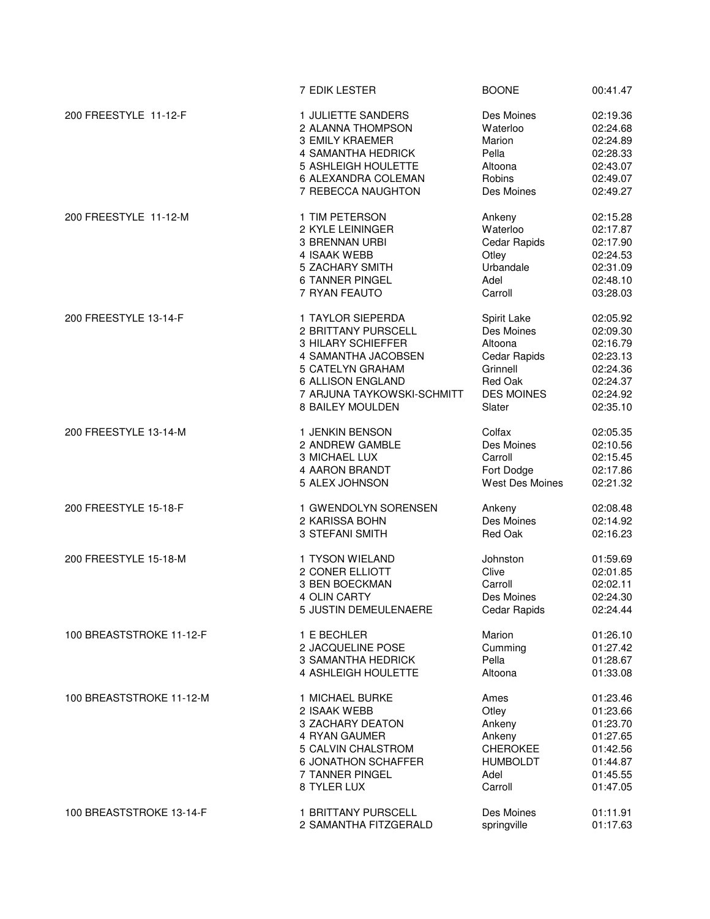|                          | 7 EDIK LESTER                                | <b>BOONE</b>              | 00:41.47             |
|--------------------------|----------------------------------------------|---------------------------|----------------------|
| 200 FREESTYLE 11-12-F    | 1 JULIETTE SANDERS                           | Des Moines                | 02:19.36             |
|                          | 2 ALANNA THOMPSON                            | Waterloo                  | 02:24.68             |
|                          | <b>3 EMILY KRAEMER</b>                       | Marion                    | 02:24.89             |
|                          |                                              |                           |                      |
|                          | 4 SAMANTHA HEDRICK                           | Pella                     | 02:28.33             |
|                          | 5 ASHLEIGH HOULETTE                          | Altoona                   | 02:43.07             |
|                          | 6 ALEXANDRA COLEMAN                          | Robins                    | 02:49.07             |
|                          | 7 REBECCA NAUGHTON                           | Des Moines                | 02:49.27             |
| 200 FREESTYLE 11-12-M    | 1 TIM PETERSON                               | Ankeny                    | 02:15.28             |
|                          | 2 KYLE LEININGER                             | Waterloo                  | 02:17.87             |
|                          |                                              |                           |                      |
|                          | 3 BRENNAN URBI                               | Cedar Rapids              | 02:17.90             |
|                          | 4 ISAAK WEBB                                 | Otley                     | 02:24.53             |
|                          | 5 ZACHARY SMITH                              | Urbandale                 | 02:31.09             |
|                          | <b>6 TANNER PINGEL</b>                       | Adel                      | 02:48.10             |
|                          | 7 RYAN FEAUTO                                | Carroll                   | 03:28.03             |
| 200 FREESTYLE 13-14-F    | 1 TAYLOR SIEPERDA                            | Spirit Lake               | 02:05.92             |
|                          | 2 BRITTANY PURSCELL                          | Des Moines                | 02:09.30             |
|                          |                                              |                           |                      |
|                          | 3 HILARY SCHIEFFER                           | Altoona                   | 02:16.79             |
|                          | 4 SAMANTHA JACOBSEN                          | Cedar Rapids              | 02:23.13             |
|                          | 5 CATELYN GRAHAM                             | Grinnell                  | 02:24.36             |
|                          | 6 ALLISON ENGLAND                            | Red Oak                   | 02:24.37             |
|                          | 7 ARJUNA TAYKOWSKI-SCHMITT                   | <b>DES MOINES</b>         | 02:24.92             |
|                          |                                              |                           |                      |
|                          | 8 BAILEY MOULDEN                             | Slater                    | 02:35.10             |
| 200 FREESTYLE 13-14-M    | 1 JENKIN BENSON                              | Colfax                    | 02:05.35             |
|                          | 2 ANDREW GAMBLE                              | Des Moines                | 02:10.56             |
|                          |                                              |                           |                      |
|                          | 3 MICHAEL LUX                                | Carroll                   | 02:15.45             |
|                          | 4 AARON BRANDT                               | Fort Dodge                | 02:17.86             |
|                          | 5 ALEX JOHNSON                               | West Des Moines           | 02:21.32             |
| 200 FREESTYLE 15-18-F    | 1 GWENDOLYN SORENSEN                         | Ankeny                    | 02:08.48             |
|                          | 2 KARISSA BOHN                               | Des Moines                | 02:14.92             |
|                          |                                              | Red Oak                   | 02:16.23             |
|                          | 3 STEFANI SMITH                              |                           |                      |
|                          |                                              |                           |                      |
| 200 FREESTYLE 15-18-M    | 1 TYSON WIELAND                              | Johnston                  | 01:59.69             |
|                          | 2 CONER ELLIOTT                              | Clive                     | 02:01.85             |
|                          | 3 BEN BOECKMAN                               | Carroll                   | 02:02.11             |
|                          | 4 OLIN CARTY                                 | Des Moines                | 02:24.30             |
|                          | 5 JUSTIN DEMEULENAERE                        | Cedar Rapids              | 02:24.44             |
| 100 BREASTSTROKE 11-12-F |                                              |                           |                      |
|                          | 1 E BECHLER                                  | Marion                    | 01:26.10             |
|                          | 2 JACQUELINE POSE                            | Cumming                   | 01:27.42             |
|                          | 3 SAMANTHA HEDRICK                           | Pella                     | 01:28.67             |
|                          | 4 ASHLEIGH HOULETTE                          | Altoona                   | 01:33.08             |
| 100 BREASTSTROKE 11-12-M | 1 MICHAEL BURKE                              | Ames                      | 01:23.46             |
|                          | 2 ISAAK WEBB                                 |                           |                      |
|                          |                                              | Otley                     | 01:23.66             |
|                          | 3 ZACHARY DEATON                             | Ankeny                    | 01:23.70             |
|                          | 4 RYAN GAUMER                                | Ankeny                    | 01:27.65             |
|                          | 5 CALVIN CHALSTROM                           | <b>CHEROKEE</b>           | 01:42.56             |
|                          | <b>6 JONATHON SCHAFFER</b>                   | <b>HUMBOLDT</b>           | 01:44.87             |
|                          | 7 TANNER PINGEL                              | Adel                      | 01:45.55             |
|                          | 8 TYLER LUX                                  | Carroll                   | 01:47.05             |
|                          |                                              |                           |                      |
| 100 BREASTSTROKE 13-14-F | 1 BRITTANY PURSCELL<br>2 SAMANTHA FITZGERALD | Des Moines<br>springville | 01:11.91<br>01:17.63 |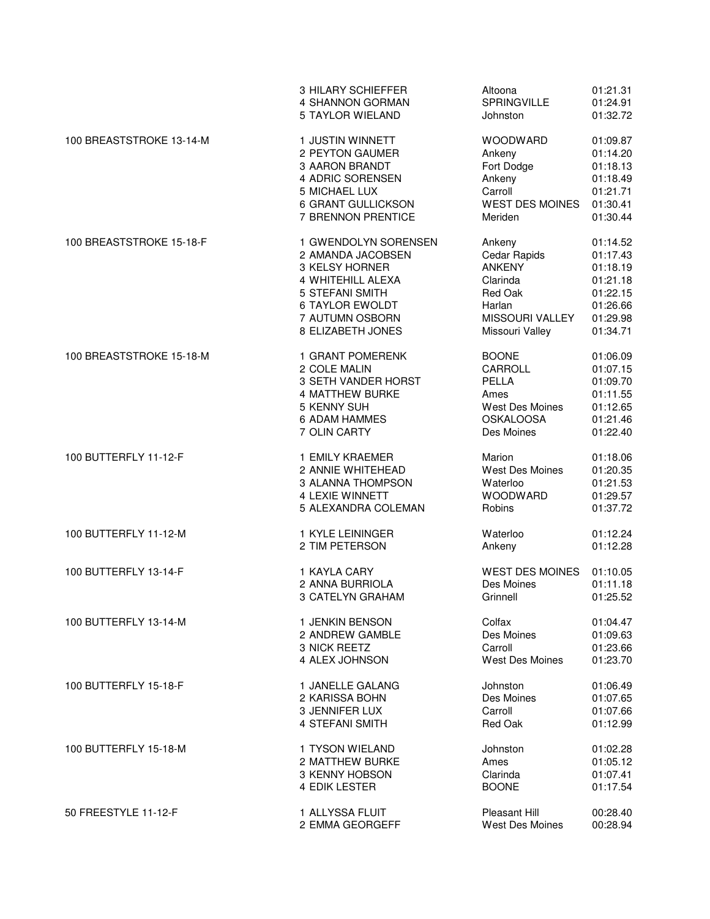|                          | 3 HILARY SCHIEFFER     | Altoona                | 01:21.31 |
|--------------------------|------------------------|------------------------|----------|
|                          | 4 SHANNON GORMAN       | <b>SPRINGVILLE</b>     | 01:24.91 |
|                          | 5 TAYLOR WIELAND       | Johnston               | 01:32.72 |
| 100 BREASTSTROKE 13-14-M | 1 JUSTIN WINNETT       | <b>WOODWARD</b>        | 01:09.87 |
|                          | 2 PEYTON GAUMER        | Ankeny                 | 01:14.20 |
|                          | 3 AARON BRANDT         | Fort Dodge             | 01:18.13 |
|                          | 4 ADRIC SORENSEN       | Ankeny                 | 01:18.49 |
|                          | 5 MICHAEL LUX          | Carroll                | 01:21.71 |
|                          | 6 GRANT GULLICKSON     | <b>WEST DES MOINES</b> | 01:30.41 |
|                          | 7 BRENNON PRENTICE     | Meriden                | 01:30.44 |
| 100 BREASTSTROKE 15-18-F | 1 GWENDOLYN SORENSEN   | Ankeny                 | 01:14.52 |
|                          | 2 AMANDA JACOBSEN      | Cedar Rapids           | 01:17.43 |
|                          | 3 KELSY HORNER         | <b>ANKENY</b>          | 01:18.19 |
|                          | 4 WHITEHILL ALEXA      | Clarinda               | 01:21.18 |
|                          | 5 STEFANI SMITH        | Red Oak                | 01:22.15 |
|                          | <b>6 TAYLOR EWOLDT</b> | Harlan                 | 01:26.66 |
|                          | 7 AUTUMN OSBORN        | MISSOURI VALLEY        | 01:29.98 |
|                          | 8 ELIZABETH JONES      | Missouri Valley        | 01:34.71 |
| 100 BREASTSTROKE 15-18-M | 1 GRANT POMERENK       | <b>BOONE</b>           | 01:06.09 |
|                          | 2 COLE MALIN           | CARROLL                | 01:07.15 |
|                          | 3 SETH VANDER HORST    | PELLA                  | 01:09.70 |
|                          | 4 MATTHEW BURKE        | Ames                   | 01:11.55 |
|                          | 5 KENNY SUH            | West Des Moines        | 01:12.65 |
|                          | 6 ADAM HAMMES          | <b>OSKALOOSA</b>       | 01:21.46 |
|                          | 7 OLIN CARTY           | Des Moines             | 01:22.40 |
| 100 BUTTERFLY 11-12-F    | 1 EMILY KRAEMER        | Marion                 | 01:18.06 |
|                          | 2 ANNIE WHITEHEAD      | West Des Moines        | 01:20.35 |
|                          | 3 ALANNA THOMPSON      | Waterloo               | 01:21.53 |
|                          | <b>4 LEXIE WINNETT</b> | <b>WOODWARD</b>        | 01:29.57 |
|                          | 5 ALEXANDRA COLEMAN    | Robins                 | 01:37.72 |
| 100 BUTTERFLY 11-12-M    | 1 KYLE LEININGER       | Waterloo               | 01:12.24 |
|                          | 2 TIM PETERSON         | Ankeny                 | 01:12.28 |
| 100 BUTTERFLY 13-14-F    | 1 KAYLA CARY           | <b>WEST DES MOINES</b> | 01:10.05 |
|                          | 2 ANNA BURRIOLA        | Des Moines             | 01:11.18 |
|                          | 3 CATELYN GRAHAM       | Grinnell               | 01:25.52 |
| 100 BUTTERFLY 13-14-M    | 1 JENKIN BENSON        | Colfax                 | 01:04.47 |
|                          | 2 ANDREW GAMBLE        | Des Moines             | 01:09.63 |
|                          | 3 NICK REETZ           | Carroll                | 01:23.66 |
|                          | 4 ALEX JOHNSON         | <b>West Des Moines</b> | 01:23.70 |
| 100 BUTTERFLY 15-18-F    | 1 JANELLE GALANG       | Johnston               | 01:06.49 |
|                          | 2 KARISSA BOHN         | Des Moines             | 01:07.65 |
|                          | 3 JENNIFER LUX         | Carroll                | 01:07.66 |
|                          | 4 STEFANI SMITH        | Red Oak                | 01:12.99 |
| 100 BUTTERFLY 15-18-M    | 1 TYSON WIELAND        | Johnston               | 01:02.28 |
|                          | 2 MATTHEW BURKE        | Ames                   | 01:05.12 |
|                          | 3 KENNY HOBSON         | Clarinda               | 01:07.41 |
|                          | 4 EDIK LESTER          | <b>BOONE</b>           | 01:17.54 |
| 50 FREESTYLE 11-12-F     | 1 ALLYSSA FLUIT        | Pleasant Hill          | 00:28.40 |
|                          | 2 EMMA GEORGEFF        | West Des Moines        | 00:28.94 |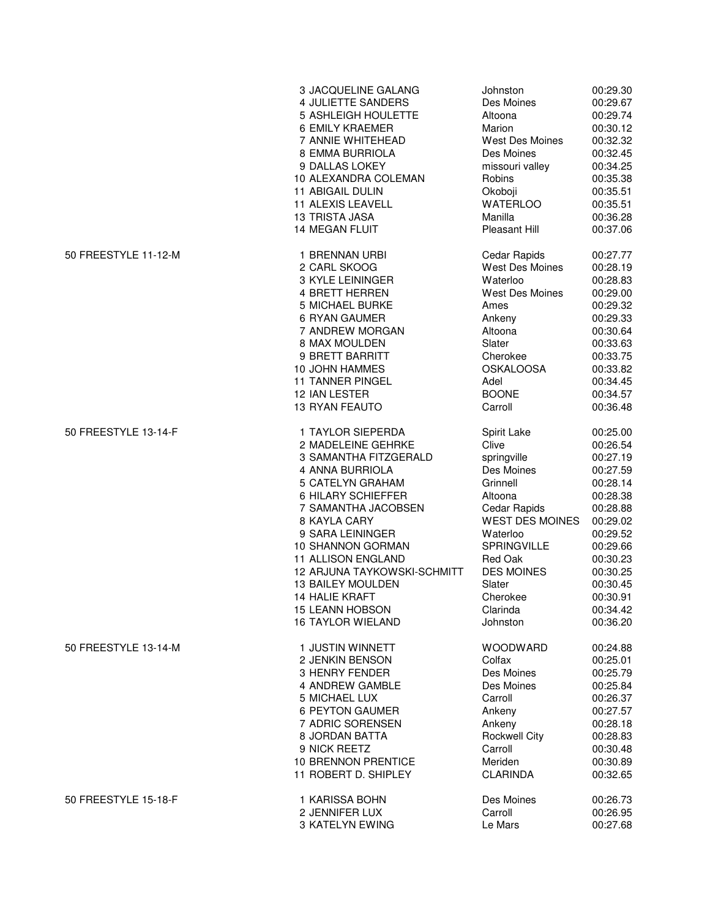|                      | 3 JACQUELINE GALANG                | Johnston               | 00:29.30 |
|----------------------|------------------------------------|------------------------|----------|
|                      | 4 JULIETTE SANDERS                 | Des Moines             | 00:29.67 |
|                      | 5 ASHLEIGH HOULETTE                | Altoona                | 00:29.74 |
|                      | 6 EMILY KRAEMER                    | Marion                 | 00:30.12 |
|                      | 7 ANNIE WHITEHEAD                  | <b>West Des Moines</b> | 00:32.32 |
|                      | <b>8 EMMA BURRIOLA</b>             | Des Moines             | 00:32.45 |
|                      | 9 DALLAS LOKEY                     | missouri valley        | 00:34.25 |
|                      | 10 ALEXANDRA COLEMAN               | Robins                 | 00:35.38 |
|                      | <b>11 ABIGAIL DULIN</b>            | Okoboji                | 00:35.51 |
|                      | 11 ALEXIS LEAVELL                  | <b>WATERLOO</b>        | 00:35.51 |
|                      | 13 TRISTA JASA                     | Manilla                | 00:36.28 |
|                      | <b>14 MEGAN FLUIT</b>              | <b>Pleasant Hill</b>   | 00:37.06 |
| 50 FREESTYLE 11-12-M | 1 BRENNAN URBI                     | Cedar Rapids           | 00:27.77 |
|                      | 2 CARL SKOOG                       | West Des Moines        | 00:28.19 |
|                      | 3 KYLE LEININGER                   | Waterloo               | 00:28.83 |
|                      | 4 BRETT HERREN                     | West Des Moines        | 00:29.00 |
|                      | 5 MICHAEL BURKE                    | Ames                   | 00:29.32 |
|                      | 6 RYAN GAUMER                      | Ankeny                 | 00:29.33 |
|                      | 7 ANDREW MORGAN                    | Altoona                | 00:30.64 |
|                      | 8 MAX MOULDEN                      | Slater                 | 00:33.63 |
|                      | 9 BRETT BARRITT                    | Cherokee               | 00:33.75 |
|                      | <b>10 JOHN HAMMES</b>              | <b>OSKALOOSA</b>       | 00:33.82 |
|                      | <b>11 TANNER PINGEL</b>            | Adel                   | 00:34.45 |
|                      | 12 IAN LESTER                      | <b>BOONE</b>           | 00:34.57 |
|                      | <b>13 RYAN FEAUTO</b>              | Carroll                | 00:36.48 |
| 50 FREESTYLE 13-14-F | 1 TAYLOR SIEPERDA                  | Spirit Lake            | 00:25.00 |
|                      | 2 MADELEINE GEHRKE                 | Clive                  | 00:26.54 |
|                      | 3 SAMANTHA FITZGERALD              | springville            | 00:27.19 |
|                      | 4 ANNA BURRIOLA                    | Des Moines             | 00:27.59 |
|                      | 5 CATELYN GRAHAM                   | Grinnell               | 00:28.14 |
|                      | 6 HILARY SCHIEFFER                 | Altoona                | 00:28.38 |
|                      | 7 SAMANTHA JACOBSEN                | Cedar Rapids           | 00:28.88 |
|                      | 8 KAYLA CARY                       | <b>WEST DES MOINES</b> | 00:29.02 |
|                      | 9 SARA LEININGER                   | Waterloo               | 00:29.52 |
|                      | 10 SHANNON GORMAN                  | <b>SPRINGVILLE</b>     | 00:29.66 |
|                      | <b>11 ALLISON ENGLAND</b>          | <b>Red Oak</b>         | 00:30.23 |
|                      | <b>12 ARJUNA TAYKOWSKI-SCHMITT</b> | <b>DES MOINES</b>      | 00:30.25 |
|                      | 13 BAILEY MOULDEN                  | Slater                 | 00:30.45 |
|                      | 14 HALIE KRAFT                     | Cherokee               | 00:30.91 |
|                      | <b>15 LEANN HOBSON</b>             | Clarinda               | 00:34.42 |
|                      | <b>16 TAYLOR WIELAND</b>           | Johnston               | 00:36.20 |
| 50 FREESTYLE 13-14-M | 1 JUSTIN WINNETT                   | <b>WOODWARD</b>        | 00:24.88 |
|                      | 2 JENKIN BENSON                    | Colfax                 | 00:25.01 |
|                      | 3 HENRY FENDER                     | Des Moines             | 00:25.79 |
|                      | 4 ANDREW GAMBLE                    | Des Moines             | 00:25.84 |
|                      | 5 MICHAEL LUX                      | Carroll                | 00:26.37 |
|                      | 6 PEYTON GAUMER                    | Ankeny                 | 00:27.57 |
|                      | 7 ADRIC SORENSEN                   | Ankeny                 | 00:28.18 |
|                      | 8 JORDAN BATTA                     | <b>Rockwell City</b>   | 00:28.83 |
|                      | 9 NICK REETZ                       | Carroll                | 00:30.48 |
|                      | 10 BRENNON PRENTICE                | Meriden                | 00:30.89 |
|                      | 11 ROBERT D. SHIPLEY               | <b>CLARINDA</b>        | 00:32.65 |
| 50 FREESTYLE 15-18-F | 1 KARISSA BOHN                     | Des Moines             | 00:26.73 |
|                      | 2 JENNIFER LUX                     | Carroll                | 00:26.95 |
|                      | 3 KATELYN EWING                    | Le Mars                | 00:27.68 |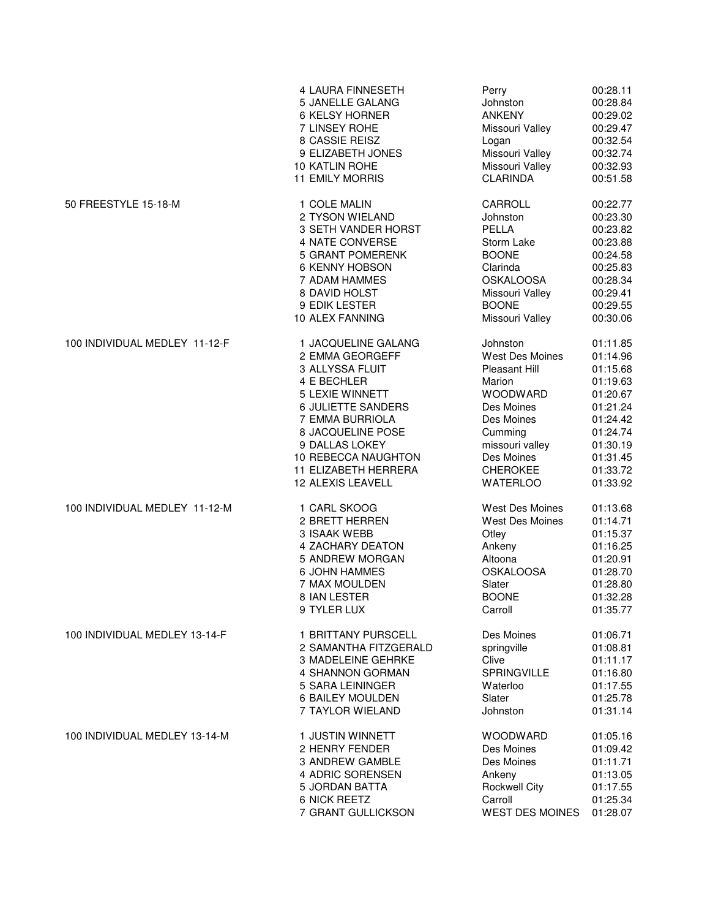|                               | 4 LAURA FINNESETH      | Perry                  | 00:28.11 |
|-------------------------------|------------------------|------------------------|----------|
|                               | 5 JANELLE GALANG       | Johnston               | 00:28.84 |
|                               | 6 KELSY HORNER         | <b>ANKENY</b>          | 00:29.02 |
|                               | 7 LINSEY ROHE          | Missouri Valley        | 00:29.47 |
|                               | 8 CASSIE REISZ         | Logan                  | 00:32.54 |
|                               | 9 ELIZABETH JONES      | Missouri Valley        | 00:32.74 |
|                               | <b>10 KATLIN ROHE</b>  | Missouri Valley        | 00:32.93 |
|                               | <b>11 EMILY MORRIS</b> | <b>CLARINDA</b>        | 00:51.58 |
| 50 FREESTYLE 15-18-M          | 1 COLE MALIN           | CARROLL                | 00:22.77 |
|                               | 2 TYSON WIELAND        | Johnston               | 00:23.30 |
|                               | 3 SETH VANDER HORST    | PELLA                  | 00:23.82 |
|                               | 4 NATE CONVERSE        | Storm Lake             | 00:23.88 |
|                               | 5 GRANT POMERENK       | <b>BOONE</b>           | 00:24.58 |
|                               | 6 KENNY HOBSON         | Clarinda               | 00:25.83 |
|                               | 7 ADAM HAMMES          | <b>OSKALOOSA</b>       | 00:28.34 |
|                               | 8 DAVID HOLST          | Missouri Valley        | 00:29.41 |
|                               | 9 EDIK LESTER          | <b>BOONE</b>           | 00:29.55 |
|                               | 10 ALEX FANNING        | Missouri Valley        | 00:30.06 |
| 100 INDIVIDUAL MEDLEY 11-12-F | 1 JACQUELINE GALANG    | Johnston               | 01:11.85 |
|                               | 2 EMMA GEORGEFF        | West Des Moines        | 01:14.96 |
|                               | 3 ALLYSSA FLUIT        | <b>Pleasant Hill</b>   | 01:15.68 |
|                               | 4 E BECHLER            | Marion                 | 01:19.63 |
|                               | 5 LEXIE WINNETT        | <b>WOODWARD</b>        | 01:20.67 |
|                               | 6 JULIETTE SANDERS     | Des Moines             | 01:21.24 |
|                               | 7 EMMA BURRIOLA        | Des Moines             | 01:24.42 |
|                               | 8 JACQUELINE POSE      | Cumming                | 01:24.74 |
|                               | 9 DALLAS LOKEY         | missouri valley        | 01:30.19 |
|                               | 10 REBECCA NAUGHTON    | Des Moines             | 01:31.45 |
|                               | 11 ELIZABETH HERRERA   | <b>CHEROKEE</b>        | 01:33.72 |
|                               | 12 ALEXIS LEAVELL      | <b>WATERLOO</b>        | 01:33.92 |
| 100 INDIVIDUAL MEDLEY 11-12-M | 1 CARL SKOOG           | <b>West Des Moines</b> | 01:13.68 |
|                               | 2 BRETT HERREN         | West Des Moines        | 01:14.71 |
|                               | 3 ISAAK WEBB           | Otley                  | 01:15.37 |
|                               | 4 ZACHARY DEATON       | Ankeny                 | 01:16.25 |
|                               | 5 ANDREW MORGAN        | Altoona                | 01:20.91 |
|                               | <b>6 JOHN HAMMES</b>   | <b>OSKALOOSA</b>       | 01:28.70 |
|                               | 7 MAX MOULDEN          | Slater                 | 01:28.80 |
|                               | 8 IAN LESTER           | <b>BOONE</b>           | 01:32.28 |
|                               | 9 TYLER LUX            | Carroll                | 01:35.77 |
| 100 INDIVIDUAL MEDLEY 13-14-F | 1 BRITTANY PURSCELL    | Des Moines             | 01:06.71 |
|                               | 2 SAMANTHA FITZGERALD  | springville            | 01:08.81 |
|                               | 3 MADELEINE GEHRKE     | Clive                  | 01:11.17 |
|                               | 4 SHANNON GORMAN       | <b>SPRINGVILLE</b>     | 01:16.80 |
|                               | 5 SARA LEININGER       | Waterloo               | 01:17.55 |
|                               | 6 BAILEY MOULDEN       | Slater                 | 01:25.78 |
|                               | 7 TAYLOR WIELAND       | Johnston               | 01:31.14 |
| 100 INDIVIDUAL MEDLEY 13-14-M | 1 JUSTIN WINNETT       | <b>WOODWARD</b>        | 01:05.16 |
|                               | 2 HENRY FENDER         | Des Moines             | 01:09.42 |
|                               | 3 ANDREW GAMBLE        | Des Moines             | 01:11.71 |
|                               | 4 ADRIC SORENSEN       | Ankeny                 | 01:13.05 |
|                               | 5 JORDAN BATTA         | <b>Rockwell City</b>   | 01:17.55 |
|                               | 6 NICK REETZ           | Carroll                | 01:25.34 |
|                               | 7 GRANT GULLICKSON     | <b>WEST DES MOINES</b> | 01:28.07 |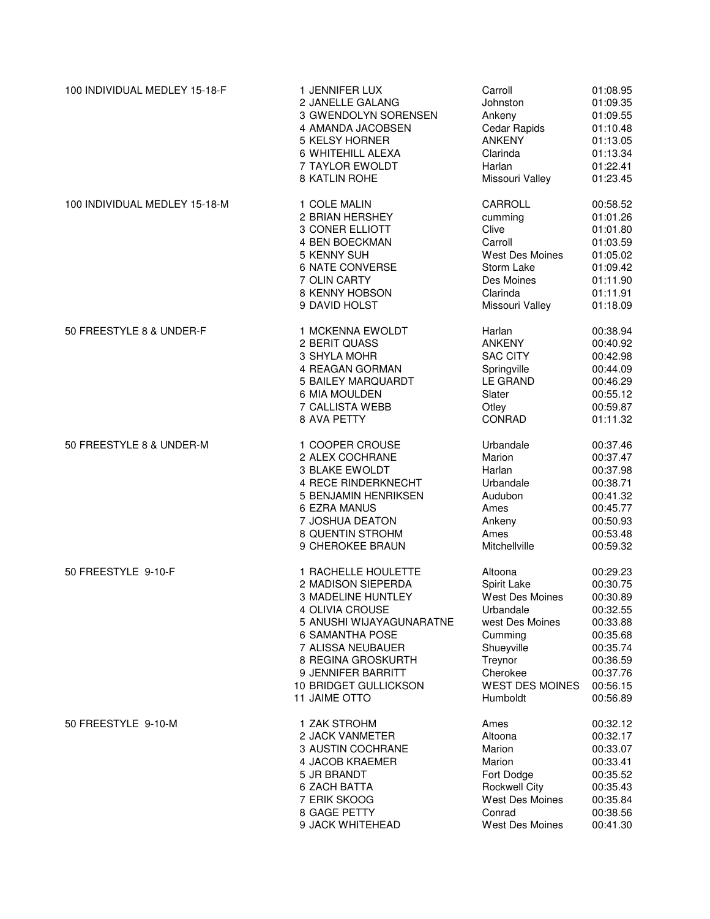| 100 INDIVIDUAL MEDLEY 15-18-F | 1 JENNIFER LUX           | Carroll                | 01:08.95 |
|-------------------------------|--------------------------|------------------------|----------|
|                               | 2 JANELLE GALANG         | Johnston               | 01:09.35 |
|                               | 3 GWENDOLYN SORENSEN     | Ankeny                 | 01:09.55 |
|                               | 4 AMANDA JACOBSEN        | Cedar Rapids           | 01:10.48 |
|                               | 5 KELSY HORNER           | <b>ANKENY</b>          | 01:13.05 |
|                               | 6 WHITEHILL ALEXA        | Clarinda               | 01:13.34 |
|                               | 7 TAYLOR EWOLDT          | Harlan                 | 01:22.41 |
|                               | 8 KATLIN ROHE            | Missouri Valley        | 01:23.45 |
| 100 INDIVIDUAL MEDLEY 15-18-M | 1 COLE MALIN             | CARROLL                | 00:58.52 |
|                               | 2 BRIAN HERSHEY          | cumming                | 01:01.26 |
|                               | 3 CONER ELLIOTT          | Clive                  | 01:01.80 |
|                               | 4 BEN BOECKMAN           | Carroll                | 01:03.59 |
|                               | 5 KENNY SUH              | West Des Moines        | 01:05.02 |
|                               | 6 NATE CONVERSE          | Storm Lake             | 01:09.42 |
|                               | 7 OLIN CARTY             | Des Moines             | 01:11.90 |
|                               | 8 KENNY HOBSON           | Clarinda               | 01:11.91 |
|                               | 9 DAVID HOLST            | Missouri Valley        | 01:18.09 |
| 50 FREESTYLE 8 & UNDER-F      | 1 MCKENNA EWOLDT         | Harlan                 | 00:38.94 |
|                               | 2 BERIT QUASS            | <b>ANKENY</b>          | 00:40.92 |
|                               | 3 SHYLA MOHR             | <b>SAC CITY</b>        | 00:42.98 |
|                               | 4 REAGAN GORMAN          | Springville            | 00:44.09 |
|                               | 5 BAILEY MARQUARDT       | <b>LE GRAND</b>        | 00:46.29 |
|                               | 6 MIA MOULDEN            | Slater                 | 00:55.12 |
|                               | 7 CALLISTA WEBB          | Otley                  | 00:59.87 |
|                               | 8 AVA PETTY              | <b>CONRAD</b>          | 01:11.32 |
| 50 FREESTYLE 8 & UNDER-M      | 1 COOPER CROUSE          | Urbandale              | 00:37.46 |
|                               | 2 ALEX COCHRANE          | Marion                 | 00:37.47 |
|                               | 3 BLAKE EWOLDT           | Harlan                 | 00:37.98 |
|                               | 4 RECE RINDERKNECHT      | Urbandale              | 00:38.71 |
|                               | 5 BENJAMIN HENRIKSEN     | Audubon                | 00:41.32 |
|                               | 6 EZRA MANUS             | Ames                   | 00:45.77 |
|                               | 7 JOSHUA DEATON          | Ankeny                 | 00:50.93 |
|                               | 8 QUENTIN STROHM         | Ames                   | 00:53.48 |
|                               | 9 CHEROKEE BRAUN         | Mitchellville          | 00:59.32 |
| 50 FREESTYLE 9-10-F           | 1 RACHELLE HOULETTE      | Altoona                | 00:29.23 |
|                               | 2 MADISON SIEPERDA       | Spirit Lake            | 00:30.75 |
|                               | 3 MADELINE HUNTLEY       | <b>West Des Moines</b> | 00:30.89 |
|                               | 4 OLIVIA CROUSE          | Urbandale              | 00:32.55 |
|                               | 5 ANUSHI WIJAYAGUNARATNE | west Des Moines        | 00:33.88 |
|                               | <b>6 SAMANTHA POSE</b>   | Cumming                | 00:35.68 |
|                               | 7 ALISSA NEUBAUER        | Shueyville             | 00:35.74 |
|                               | 8 REGINA GROSKURTH       | Treynor                | 00:36.59 |
|                               | 9 JENNIFER BARRITT       | Cherokee               | 00:37.76 |
|                               | 10 BRIDGET GULLICKSON    | <b>WEST DES MOINES</b> | 00:56.15 |
|                               | <b>11 JAIME OTTO</b>     | Humboldt               | 00:56.89 |
| 50 FREESTYLE 9-10-M           | 1 ZAK STROHM             | Ames                   | 00:32.12 |
|                               | 2 JACK VANMETER          | Altoona                | 00:32.17 |
|                               | 3 AUSTIN COCHRANE        | Marion                 | 00:33.07 |
|                               | 4 JACOB KRAEMER          | Marion                 | 00:33.41 |
|                               | 5 JR BRANDT              | Fort Dodge             | 00:35.52 |
|                               | <b>6 ZACH BATTA</b>      | <b>Rockwell City</b>   | 00:35.43 |
|                               | 7 ERIK SKOOG             | West Des Moines        | 00:35.84 |
|                               | 8 GAGE PETTY             | Conrad                 | 00:38.56 |
|                               | 9 JACK WHITEHEAD         | West Des Moines        | 00:41.30 |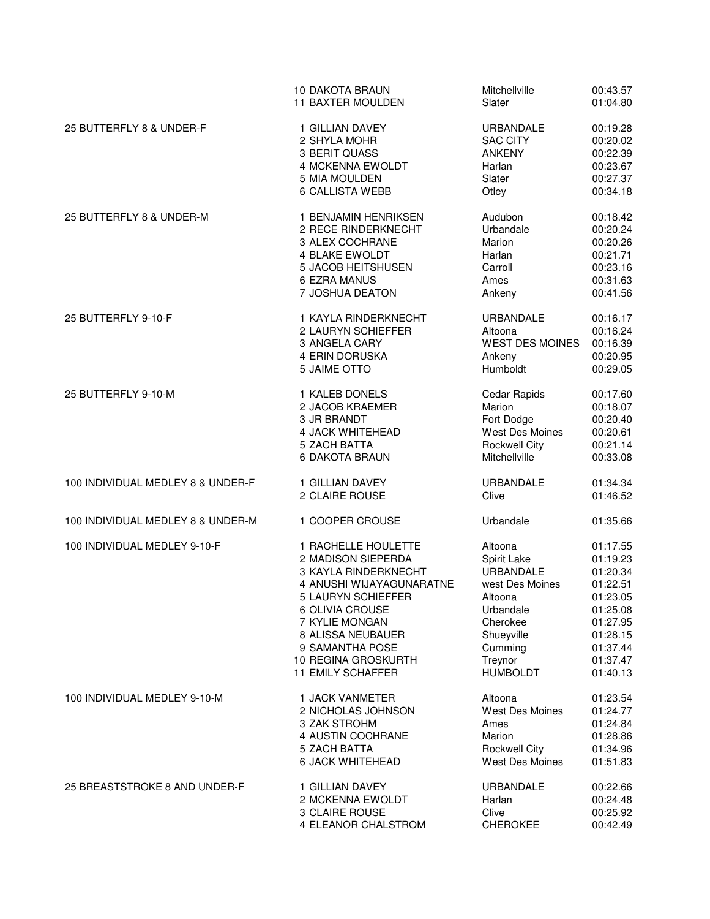|                                   | 10 DAKOTA BRAUN          | Mitchellville          | 00:43.57 |
|-----------------------------------|--------------------------|------------------------|----------|
|                                   | 11 BAXTER MOULDEN        | Slater                 | 01:04.80 |
| 25 BUTTERFLY 8 & UNDER-F          | 1 GILLIAN DAVEY          | <b>URBANDALE</b>       | 00:19.28 |
|                                   | 2 SHYLA MOHR             | <b>SAC CITY</b>        | 00:20.02 |
|                                   | 3 BERIT QUASS            | <b>ANKENY</b>          | 00:22.39 |
|                                   | 4 MCKENNA EWOLDT         | Harlan                 | 00:23.67 |
|                                   | 5 MIA MOULDEN            | Slater                 | 00:27.37 |
|                                   | 6 CALLISTA WEBB          | Otley                  | 00:34.18 |
| 25 BUTTERFLY 8 & UNDER-M          | 1 BENJAMIN HENRIKSEN     | Audubon                | 00:18.42 |
|                                   | 2 RECE RINDERKNECHT      | Urbandale              | 00:20.24 |
|                                   | 3 ALEX COCHRANE          | Marion                 | 00:20.26 |
|                                   | 4 BLAKE EWOLDT           | Harlan                 | 00:21.71 |
|                                   | 5 JACOB HEITSHUSEN       | Carroll                | 00:23.16 |
|                                   | 6 EZRA MANUS             | Ames                   | 00:31.63 |
|                                   | 7 JOSHUA DEATON          | Ankeny                 | 00:41.56 |
| 25 BUTTERFLY 9-10-F               | 1 KAYLA RINDERKNECHT     | <b>URBANDALE</b>       | 00:16.17 |
|                                   | 2 LAURYN SCHIEFFER       | Altoona                | 00:16.24 |
|                                   | 3 ANGELA CARY            | <b>WEST DES MOINES</b> | 00:16.39 |
|                                   | 4 ERIN DORUSKA           | Ankeny                 | 00:20.95 |
|                                   | 5 JAIME OTTO             | Humboldt               | 00:29.05 |
| 25 BUTTERFLY 9-10-M               | 1 KALEB DONELS           | Cedar Rapids           | 00:17.60 |
|                                   | 2 JACOB KRAEMER          | Marion                 | 00:18.07 |
|                                   | 3 JR BRANDT              | Fort Dodge             | 00:20.40 |
|                                   | 4 JACK WHITEHEAD         | West Des Moines        | 00:20.61 |
|                                   | 5 ZACH BATTA             | Rockwell City          | 00:21.14 |
|                                   | 6 DAKOTA BRAUN           | Mitchellville          | 00:33.08 |
| 100 INDIVIDUAL MEDLEY 8 & UNDER-F | 1 GILLIAN DAVEY          | <b>URBANDALE</b>       | 01:34.34 |
|                                   | 2 CLAIRE ROUSE           | Clive                  | 01:46.52 |
| 100 INDIVIDUAL MEDLEY 8 & UNDER-M | 1 COOPER CROUSE          | Urbandale              | 01:35.66 |
| 100 INDIVIDUAL MEDLEY 9-10-F      | 1 RACHELLE HOULETTE      | Altoona                | 01:17.55 |
|                                   | 2 MADISON SIEPERDA       | Spirit Lake            | 01:19.23 |
|                                   | 3 KAYLA RINDERKNECHT     | <b>URBANDALE</b>       | 01:20.34 |
|                                   | 4 ANUSHI WIJAYAGUNARATNE | west Des Moines        | 01:22.51 |
|                                   | 5 LAURYN SCHIEFFER       | Altoona                | 01:23.05 |
|                                   | 6 OLIVIA CROUSE          | Urbandale              | 01:25.08 |
|                                   | 7 KYLIE MONGAN           | Cherokee               | 01:27.95 |
|                                   | 8 ALISSA NEUBAUER        | Shueyville             | 01:28.15 |
|                                   | 9 SAMANTHA POSE          | Cumming                | 01:37.44 |
|                                   | 10 REGINA GROSKURTH      | Treynor                | 01:37.47 |
|                                   | 11 EMILY SCHAFFER        | <b>HUMBOLDT</b>        | 01:40.13 |
| 100 INDIVIDUAL MEDLEY 9-10-M      | 1 JACK VANMETER          | Altoona                | 01:23.54 |
|                                   | 2 NICHOLAS JOHNSON       | West Des Moines        | 01:24.77 |
|                                   | 3 ZAK STROHM             | Ames                   | 01:24.84 |
|                                   | 4 AUSTIN COCHRANE        | Marion                 | 01:28.86 |
|                                   | 5 ZACH BATTA             | <b>Rockwell City</b>   | 01:34.96 |
|                                   | 6 JACK WHITEHEAD         | West Des Moines        | 01:51.83 |
| 25 BREASTSTROKE 8 AND UNDER-F     | 1 GILLIAN DAVEY          | <b>URBANDALE</b>       | 00:22.66 |
|                                   | 2 MCKENNA EWOLDT         | Harlan                 | 00:24.48 |
|                                   | 3 CLAIRE ROUSE           | Clive                  | 00:25.92 |
|                                   | 4 ELEANOR CHALSTROM      | <b>CHEROKEE</b>        | 00:42.49 |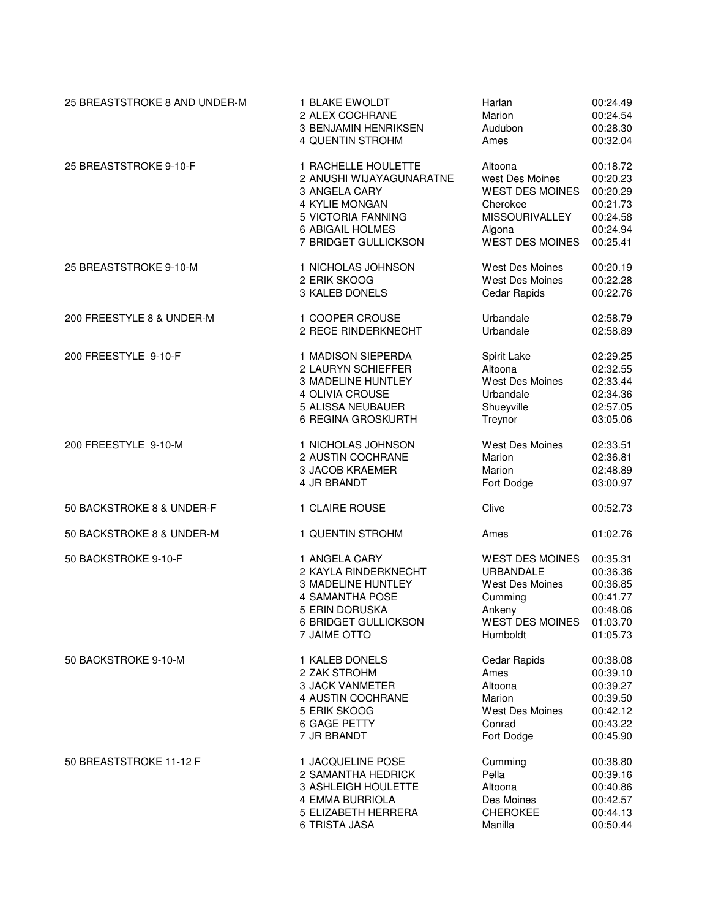| 25 BREASTSTROKE 8 AND UNDER-M | 1 BLAKE EWOLDT           | Harlan                 | 00:24.49 |
|-------------------------------|--------------------------|------------------------|----------|
|                               | 2 ALEX COCHRANE          | Marion                 | 00:24.54 |
|                               | 3 BENJAMIN HENRIKSEN     | Audubon                | 00:28.30 |
|                               | 4 QUENTIN STROHM         | Ames                   | 00:32.04 |
| 25 BREASTSTROKE 9-10-F        | 1 RACHELLE HOULETTE      | Altoona                | 00:18.72 |
|                               | 2 ANUSHI WIJAYAGUNARATNE | west Des Moines        | 00:20.23 |
|                               | 3 ANGELA CARY            | <b>WEST DES MOINES</b> | 00:20.29 |
|                               | 4 KYLIE MONGAN           | Cherokee               | 00:21.73 |
|                               | 5 VICTORIA FANNING       | <b>MISSOURIVALLEY</b>  | 00:24.58 |
|                               | 6 ABIGAIL HOLMES         | Algona                 | 00:24.94 |
|                               | 7 BRIDGET GULLICKSON     | <b>WEST DES MOINES</b> | 00:25.41 |
| 25 BREASTSTROKE 9-10-M        | 1 NICHOLAS JOHNSON       | West Des Moines        | 00:20.19 |
|                               | 2 ERIK SKOOG             | West Des Moines        | 00:22.28 |
|                               | 3 KALEB DONELS           | Cedar Rapids           | 00:22.76 |
| 200 FREESTYLE 8 & UNDER-M     | 1 COOPER CROUSE          | Urbandale              | 02:58.79 |
|                               | 2 RECE RINDERKNECHT      | Urbandale              | 02:58.89 |
| 200 FREESTYLE 9-10-F          | 1 MADISON SIEPERDA       | Spirit Lake            | 02:29.25 |
|                               | 2 LAURYN SCHIEFFER       | Altoona                | 02:32.55 |
|                               | 3 MADELINE HUNTLEY       | <b>West Des Moines</b> | 02:33.44 |
|                               | 4 OLIVIA CROUSE          | Urbandale              | 02:34.36 |
|                               | 5 ALISSA NEUBAUER        | Shueyville             | 02:57.05 |
|                               | 6 REGINA GROSKURTH       | Treynor                | 03:05.06 |
| 200 FREESTYLE 9-10-M          | 1 NICHOLAS JOHNSON       | West Des Moines        | 02:33.51 |
|                               | 2 AUSTIN COCHRANE        | Marion                 | 02:36.81 |
|                               | 3 JACOB KRAEMER          | Marion                 | 02:48.89 |
|                               | 4 JR BRANDT              | Fort Dodge             | 03:00.97 |
| 50 BACKSTROKE 8 & UNDER-F     | 1 CLAIRE ROUSE           | Clive                  | 00:52.73 |
| 50 BACKSTROKE 8 & UNDER-M     | 1 QUENTIN STROHM         | Ames                   | 01:02.76 |
| 50 BACKSTROKE 9-10-F          | 1 ANGELA CARY            | <b>WEST DES MOINES</b> | 00:35.31 |
|                               | 2 KAYLA RINDERKNECHT     | <b>URBANDALE</b>       | 00:36.36 |
|                               | 3 MADELINE HUNTLEY       | <b>West Des Moines</b> | 00:36.85 |
|                               | 4 SAMANTHA POSE          | Cumming                | 00:41.77 |
|                               | 5 ERIN DORUSKA           | Ankeny                 | 00:48.06 |
|                               | 6 BRIDGET GULLICKSON     | <b>WEST DES MOINES</b> | 01:03.70 |
|                               | 7 JAIME OTTO             | Humboldt               | 01:05.73 |
| 50 BACKSTROKE 9-10-M          | 1 KALEB DONELS           | Cedar Rapids           | 00:38.08 |
|                               | 2 ZAK STROHM             | Ames                   | 00:39.10 |
|                               | <b>3 JACK VANMETER</b>   | Altoona                | 00:39.27 |
|                               | 4 AUSTIN COCHRANE        | Marion                 | 00:39.50 |
|                               | 5 ERIK SKOOG             | <b>West Des Moines</b> | 00:42.12 |
|                               | 6 GAGE PETTY             | Conrad                 | 00:43.22 |
|                               | 7 JR BRANDT              | Fort Dodge             | 00:45.90 |
| 50 BREASTSTROKE 11-12 F       | 1 JACQUELINE POSE        | Cumming                | 00:38.80 |
|                               | 2 SAMANTHA HEDRICK       | Pella                  | 00:39.16 |
|                               | 3 ASHLEIGH HOULETTE      | Altoona                | 00:40.86 |
|                               | 4 EMMA BURRIOLA          | Des Moines             | 00:42.57 |
|                               | 5 ELIZABETH HERRERA      | <b>CHEROKEE</b>        | 00:44.13 |
|                               | 6 TRISTA JASA            | Manilla                | 00:50.44 |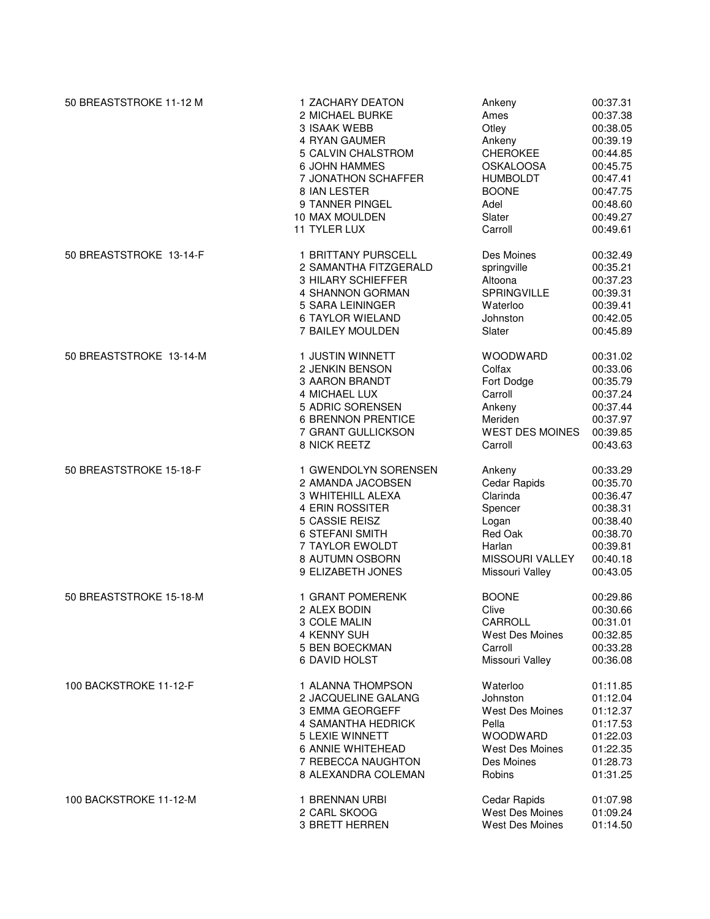| 50 BREASTSTROKE 11-12 M | 1 ZACHARY DEATON          | Ankeny                 | 00:37.31 |
|-------------------------|---------------------------|------------------------|----------|
|                         | 2 MICHAEL BURKE           | Ames                   | 00:37.38 |
|                         | <b>3 ISAAK WEBB</b>       | Otley                  | 00:38.05 |
|                         | 4 RYAN GAUMER             | Ankeny                 | 00:39.19 |
|                         | 5 CALVIN CHALSTROM        | <b>CHEROKEE</b>        | 00:44.85 |
|                         | 6 JOHN HAMMES             | <b>OSKALOOSA</b>       | 00:45.75 |
|                         | 7 JONATHON SCHAFFER       | <b>HUMBOLDT</b>        | 00:47.41 |
|                         | 8 IAN LESTER              | <b>BOONE</b>           | 00:47.75 |
|                         | 9 TANNER PINGEL           | Adel                   | 00:48.60 |
|                         | 10 MAX MOULDEN            | Slater                 | 00:49.27 |
|                         | 11 TYLER LUX              | Carroll                | 00:49.61 |
| 50 BREASTSTROKE 13-14-F | 1 BRITTANY PURSCELL       | Des Moines             | 00:32.49 |
|                         | 2 SAMANTHA FITZGERALD     | springville            | 00:35.21 |
|                         | 3 HILARY SCHIEFFER        | Altoona                | 00:37.23 |
|                         | 4 SHANNON GORMAN          | <b>SPRINGVILLE</b>     | 00:39.31 |
|                         | 5 SARA LEININGER          | Waterloo               | 00:39.41 |
|                         | 6 TAYLOR WIELAND          | Johnston               | 00:42.05 |
|                         | 7 BAILEY MOULDEN          | Slater                 | 00:45.89 |
| 50 BREASTSTROKE 13-14-M | 1 JUSTIN WINNETT          | <b>WOODWARD</b>        | 00:31.02 |
|                         | 2 JENKIN BENSON           | Colfax                 | 00:33.06 |
|                         | 3 AARON BRANDT            | Fort Dodge             | 00:35.79 |
|                         | 4 MICHAEL LUX             | Carroll                | 00:37.24 |
|                         | 5 ADRIC SORENSEN          | Ankeny                 | 00:37.44 |
|                         | <b>6 BRENNON PRENTICE</b> | Meriden                | 00:37.97 |
|                         | 7 GRANT GULLICKSON        | <b>WEST DES MOINES</b> | 00:39.85 |
|                         | 8 NICK REETZ              | Carroll                | 00:43.63 |
| 50 BREASTSTROKE 15-18-F | 1 GWENDOLYN SORENSEN      | Ankeny                 | 00:33.29 |
|                         | 2 AMANDA JACOBSEN         | Cedar Rapids           | 00:35.70 |
|                         | 3 WHITEHILL ALEXA         | Clarinda               | 00:36.47 |
|                         | 4 ERIN ROSSITER           | Spencer                | 00:38.31 |
|                         | 5 CASSIE REISZ            | Logan                  | 00:38.40 |
|                         | 6 STEFANI SMITH           | Red Oak                | 00:38.70 |
|                         | 7 TAYLOR EWOLDT           | Harlan                 | 00:39.81 |
|                         | 8 AUTUMN OSBORN           | MISSOURI VALLEY        | 00:40.18 |
|                         | 9 ELIZABETH JONES         | Missouri Valley        | 00:43.05 |
| 50 BREASTSTROKE 15-18-M | 1 GRANT POMERENK          | <b>BOONE</b>           | 00:29.86 |
|                         | 2 ALEX BODIN              | Clive                  | 00:30.66 |
|                         | 3 COLE MALIN              | CARROLL                | 00:31.01 |
|                         | 4 KENNY SUH               | West Des Moines        | 00:32.85 |
|                         | 5 BEN BOECKMAN            | Carroll                | 00:33.28 |
|                         | 6 DAVID HOLST             | Missouri Valley        | 00:36.08 |
| 100 BACKSTROKE 11-12-F  | 1 ALANNA THOMPSON         | Waterloo               | 01:11.85 |
|                         | 2 JACQUELINE GALANG       | Johnston               | 01:12.04 |
|                         | 3 EMMA GEORGEFF           | West Des Moines        | 01:12.37 |
|                         | 4 SAMANTHA HEDRICK        | Pella                  | 01:17.53 |
|                         | 5 LEXIE WINNETT           | <b>WOODWARD</b>        | 01:22.03 |
|                         | 6 ANNIE WHITEHEAD         | West Des Moines        | 01:22.35 |
|                         | 7 REBECCA NAUGHTON        | Des Moines             | 01:28.73 |
|                         | 8 ALEXANDRA COLEMAN       | Robins                 | 01:31.25 |
| 100 BACKSTROKE 11-12-M  | 1 BRENNAN URBI            | Cedar Rapids           | 01:07.98 |
|                         | 2 CARL SKOOG              | West Des Moines        | 01:09.24 |
|                         | 3 BRETT HERREN            | West Des Moines        | 01:14.50 |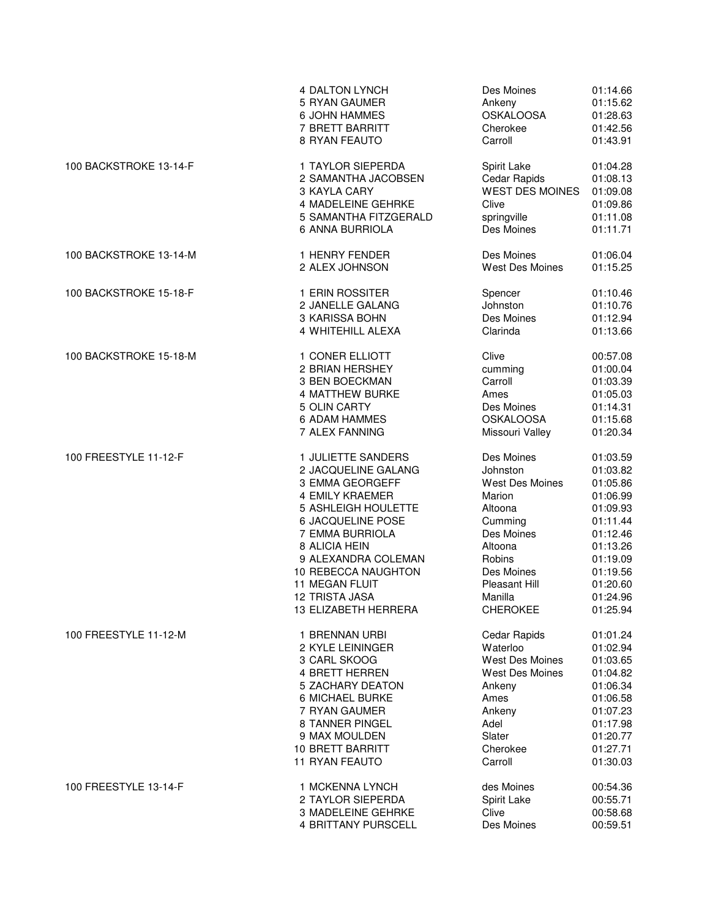|                        | 4 DALTON LYNCH          | Des Moines             | 01:14.66 |
|------------------------|-------------------------|------------------------|----------|
|                        | 5 RYAN GAUMER           | Ankeny                 | 01:15.62 |
|                        | 6 JOHN HAMMES           | <b>OSKALOOSA</b>       | 01:28.63 |
|                        | 7 BRETT BARRITT         | Cherokee               | 01:42.56 |
|                        | 8 RYAN FEAUTO           | Carroll                | 01:43.91 |
| 100 BACKSTROKE 13-14-F | 1 TAYLOR SIEPERDA       | Spirit Lake            | 01:04.28 |
|                        | 2 SAMANTHA JACOBSEN     | Cedar Rapids           | 01:08.13 |
|                        | 3 KAYLA CARY            | <b>WEST DES MOINES</b> | 01:09.08 |
|                        | 4 MADELEINE GEHRKE      | Clive                  | 01:09.86 |
|                        | 5 SAMANTHA FITZGERALD   | springville            | 01:11.08 |
|                        | 6 ANNA BURRIOLA         | Des Moines             | 01:11.71 |
| 100 BACKSTROKE 13-14-M | 1 HENRY FENDER          | Des Moines             | 01:06.04 |
|                        | 2 ALEX JOHNSON          | <b>West Des Moines</b> | 01:15.25 |
| 100 BACKSTROKE 15-18-F | 1 ERIN ROSSITER         | Spencer                | 01:10.46 |
|                        | 2 JANELLE GALANG        | Johnston               | 01:10.76 |
|                        | 3 KARISSA BOHN          | Des Moines             | 01:12.94 |
|                        | 4 WHITEHILL ALEXA       | Clarinda               | 01:13.66 |
| 100 BACKSTROKE 15-18-M | 1 CONER ELLIOTT         | Clive                  | 00:57.08 |
|                        | 2 BRIAN HERSHEY         | cumming                | 01:00.04 |
|                        | 3 BEN BOECKMAN          | Carroll                | 01:03.39 |
|                        | <b>4 MATTHEW BURKE</b>  | Ames                   | 01:05.03 |
|                        | 5 OLIN CARTY            | Des Moines             | 01:14.31 |
|                        | 6 ADAM HAMMES           | <b>OSKALOOSA</b>       | 01:15.68 |
|                        | 7 ALEX FANNING          | Missouri Valley        | 01:20.34 |
| 100 FREESTYLE 11-12-F  | 1 JULIETTE SANDERS      | Des Moines             | 01:03.59 |
|                        | 2 JACQUELINE GALANG     | Johnston               | 01:03.82 |
|                        | 3 EMMA GEORGEFF         | West Des Moines        | 01:05.86 |
|                        | 4 EMILY KRAEMER         | Marion                 | 01:06.99 |
|                        | 5 ASHLEIGH HOULETTE     | Altoona                | 01:09.93 |
|                        | 6 JACQUELINE POSE       | Cumming                | 01:11.44 |
|                        | 7 EMMA BURRIOLA         | Des Moines             | 01:12.46 |
|                        | 8 ALICIA HEIN           | Altoona                | 01:13.26 |
|                        | 9 ALEXANDRA COLEMAN     | Robins                 | 01:19.09 |
|                        | 10 REBECCA NAUGHTON     | Des Moines             | 01:19.56 |
|                        | <b>11 MEGAN FLUIT</b>   | Pleasant Hill          | 01:20.60 |
|                        | <b>12 TRISTA JASA</b>   | Manilla                | 01:24.96 |
|                        | 13 ELIZABETH HERRERA    | <b>CHEROKEE</b>        | 01:25.94 |
| 100 FREESTYLE 11-12-M  | 1 BRENNAN URBI          | Cedar Rapids           | 01:01.24 |
|                        | 2 KYLE LEININGER        | Waterloo               | 01:02.94 |
|                        | 3 CARL SKOOG            | West Des Moines        | 01:03.65 |
|                        | <b>4 BRETT HERREN</b>   | West Des Moines        | 01:04.82 |
|                        | 5 ZACHARY DEATON        | Ankeny                 | 01:06.34 |
|                        | 6 MICHAEL BURKE         | Ames                   | 01:06.58 |
|                        | 7 RYAN GAUMER           | Ankeny                 | 01:07.23 |
|                        | 8 TANNER PINGEL         | Adel                   | 01:17.98 |
|                        | 9 MAX MOULDEN           | Slater                 | 01:20.77 |
|                        | <b>10 BRETT BARRITT</b> | Cherokee               | 01:27.71 |
|                        | 11 RYAN FEAUTO          | Carroll                | 01:30.03 |
| 100 FREESTYLE 13-14-F  | 1 MCKENNA LYNCH         | des Moines             | 00:54.36 |
|                        | 2 TAYLOR SIEPERDA       | Spirit Lake            | 00:55.71 |
|                        | 3 MADELEINE GEHRKE      | Clive                  | 00:58.68 |
|                        | 4 BRITTANY PURSCELL     | Des Moines             | 00:59.51 |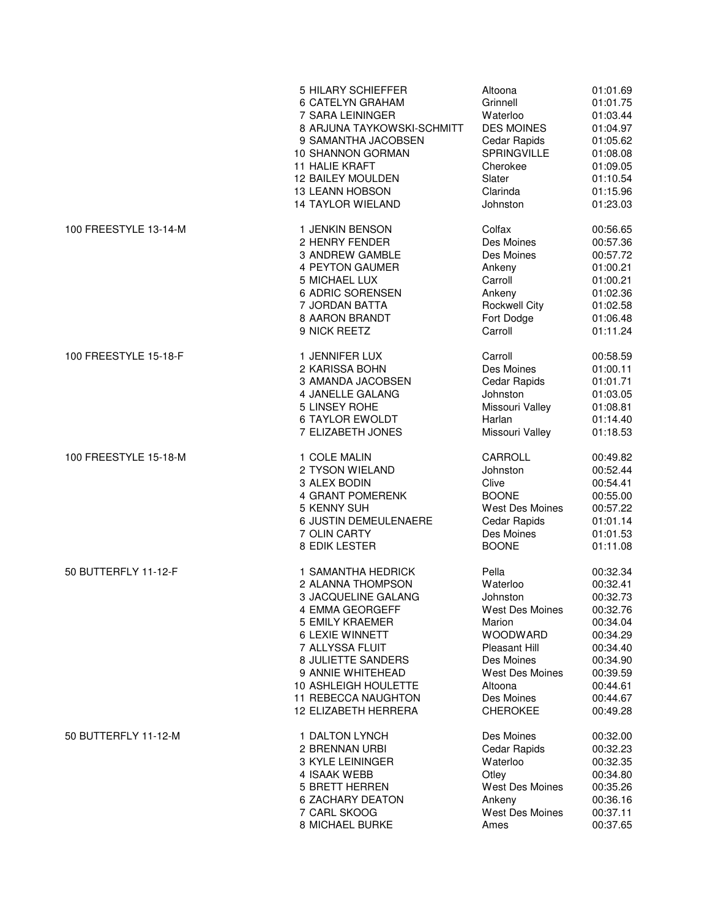|                       | 5 HILARY SCHIEFFER         | Altoona                | 01:01.69 |
|-----------------------|----------------------------|------------------------|----------|
|                       | 6 CATELYN GRAHAM           | Grinnell               | 01:01.75 |
|                       | 7 SARA LEININGER           | Waterloo               | 01:03.44 |
|                       | 8 ARJUNA TAYKOWSKI-SCHMITT | <b>DES MOINES</b>      | 01:04.97 |
|                       | 9 SAMANTHA JACOBSEN        | Cedar Rapids           | 01:05.62 |
|                       | 10 SHANNON GORMAN          | <b>SPRINGVILLE</b>     | 01:08.08 |
|                       | 11 HALIE KRAFT             | Cherokee               | 01:09.05 |
|                       | 12 BAILEY MOULDEN          | Slater                 | 01:10.54 |
|                       | <b>13 LEANN HOBSON</b>     | Clarinda               | 01:15.96 |
|                       | 14 TAYLOR WIELAND          | Johnston               | 01:23.03 |
| 100 FREESTYLE 13-14-M | 1 JENKIN BENSON            | Colfax                 | 00:56.65 |
|                       | 2 HENRY FENDER             | Des Moines             | 00:57.36 |
|                       | 3 ANDREW GAMBLE            | Des Moines             | 00:57.72 |
|                       | 4 PEYTON GAUMER            | Ankeny                 | 01:00.21 |
|                       | 5 MICHAEL LUX              | Carroll                | 01:00.21 |
|                       | 6 ADRIC SORENSEN           | Ankeny                 | 01:02.36 |
|                       | 7 JORDAN BATTA             | <b>Rockwell City</b>   | 01:02.58 |
|                       | 8 AARON BRANDT             | Fort Dodge             | 01:06.48 |
|                       | 9 NICK REETZ               | Carroll                | 01:11.24 |
| 100 FREESTYLE 15-18-F | 1 JENNIFER LUX             | Carroll                | 00:58.59 |
|                       | 2 KARISSA BOHN             | Des Moines             | 01:00.11 |
|                       | 3 AMANDA JACOBSEN          | Cedar Rapids           | 01:01.71 |
|                       | 4 JANELLE GALANG           | Johnston               | 01:03.05 |
|                       | 5 LINSEY ROHE              | Missouri Valley        | 01:08.81 |
|                       | <b>6 TAYLOR EWOLDT</b>     | Harlan                 | 01:14.40 |
|                       | 7 ELIZABETH JONES          | Missouri Valley        | 01:18.53 |
| 100 FREESTYLE 15-18-M | 1 COLE MALIN               | CARROLL                | 00:49.82 |
|                       | 2 TYSON WIELAND            | Johnston               | 00:52.44 |
|                       | 3 ALEX BODIN               | Clive                  | 00:54.41 |
|                       | 4 GRANT POMERENK           | <b>BOONE</b>           | 00:55.00 |
|                       | 5 KENNY SUH                | West Des Moines        | 00:57.22 |
|                       | 6 JUSTIN DEMEULENAERE      | Cedar Rapids           | 01:01.14 |
|                       | 7 OLIN CARTY               | Des Moines             | 01:01.53 |
|                       | 8 EDIK LESTER              | <b>BOONE</b>           | 01:11.08 |
| 50 BUTTERFLY 11-12-F  | 1 SAMANTHA HEDRICK         | Pella                  | 00:32.34 |
|                       | 2 ALANNA THOMPSON          | Waterloo               | 00:32.41 |
|                       | 3 JACQUELINE GALANG        | Johnston               | 00:32.73 |
|                       | 4 EMMA GEORGEFF            | <b>West Des Moines</b> | 00:32.76 |
|                       | <b>5 EMILY KRAEMER</b>     | Marion                 | 00:34.04 |
|                       | 6 LEXIE WINNETT            | <b>WOODWARD</b>        | 00:34.29 |
|                       | 7 ALLYSSA FLUIT            | <b>Pleasant Hill</b>   | 00:34.40 |
|                       | 8 JULIETTE SANDERS         | Des Moines             | 00:34.90 |
|                       | 9 ANNIE WHITEHEAD          | <b>West Des Moines</b> | 00:39.59 |
|                       | 10 ASHLEIGH HOULETTE       | Altoona                | 00:44.61 |
|                       | 11 REBECCA NAUGHTON        | Des Moines             | 00:44.67 |
|                       | 12 ELIZABETH HERRERA       | <b>CHEROKEE</b>        | 00:49.28 |
| 50 BUTTERFLY 11-12-M  | 1 DALTON LYNCH             | Des Moines             | 00:32.00 |
|                       | 2 BRENNAN URBI             | Cedar Rapids           | 00:32.23 |
|                       | 3 KYLE LEININGER           | Waterloo               | 00:32.35 |
|                       | 4 ISAAK WEBB               | Otley                  | 00:34.80 |
|                       | <b>5 BRETT HERREN</b>      | <b>West Des Moines</b> | 00:35.26 |
|                       | <b>6 ZACHARY DEATON</b>    | Ankeny                 | 00:36.16 |
|                       | 7 CARL SKOOG               | West Des Moines        | 00:37.11 |
|                       | 8 MICHAEL BURKE            | Ames                   | 00:37.65 |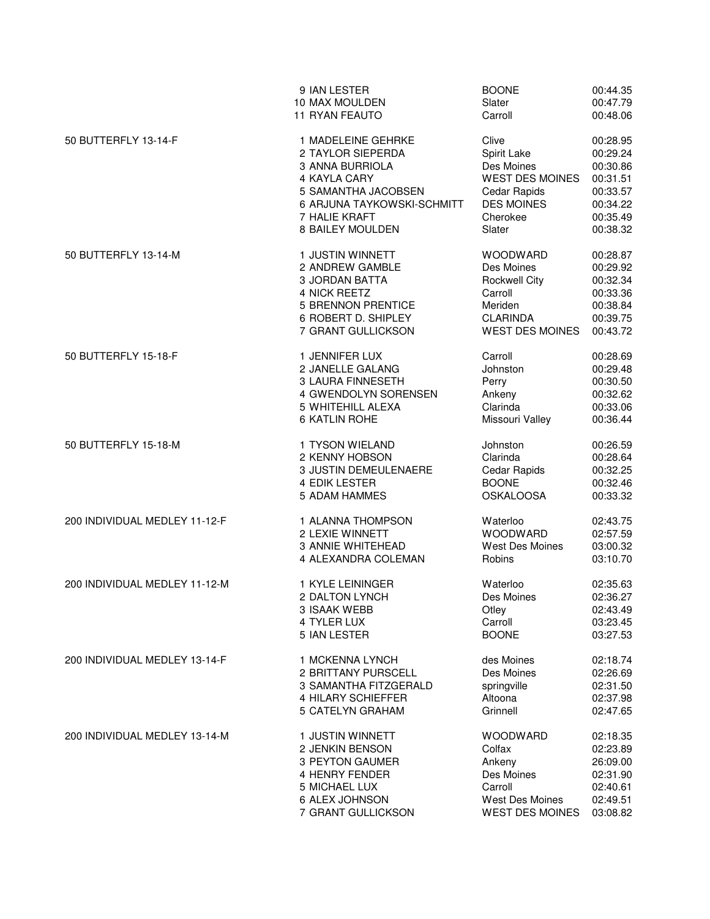|                               | 9 IAN LESTER               | <b>BOONE</b>           | 00:44.35 |
|-------------------------------|----------------------------|------------------------|----------|
|                               | 10 MAX MOULDEN             | Slater                 | 00:47.79 |
|                               | 11 RYAN FEAUTO             | Carroll                | 00:48.06 |
| 50 BUTTERFLY 13-14-F          | 1 MADELEINE GEHRKE         | Clive                  | 00:28.95 |
|                               | 2 TAYLOR SIEPERDA          | Spirit Lake            | 00:29.24 |
|                               | 3 ANNA BURRIOLA            | Des Moines             | 00:30.86 |
|                               | 4 KAYLA CARY               | <b>WEST DES MOINES</b> | 00:31.51 |
|                               | 5 SAMANTHA JACOBSEN        | Cedar Rapids           | 00:33.57 |
|                               | 6 ARJUNA TAYKOWSKI-SCHMITT | <b>DES MOINES</b>      | 00:34.22 |
|                               | 7 HALIE KRAFT              | Cherokee               | 00:35.49 |
|                               | 8 BAILEY MOULDEN           | Slater                 | 00:38.32 |
| 50 BUTTERFLY 13-14-M          | 1 JUSTIN WINNETT           | <b>WOODWARD</b>        | 00:28.87 |
|                               | 2 ANDREW GAMBLE            | Des Moines             | 00:29.92 |
|                               | 3 JORDAN BATTA             | <b>Rockwell City</b>   | 00:32.34 |
|                               | 4 NICK REETZ               | Carroll                | 00:33.36 |
|                               | 5 BRENNON PRENTICE         | Meriden                | 00:38.84 |
|                               | 6 ROBERT D. SHIPLEY        | <b>CLARINDA</b>        | 00:39.75 |
|                               | 7 GRANT GULLICKSON         | <b>WEST DES MOINES</b> | 00:43.72 |
| 50 BUTTERFLY 15-18-F          | 1 JENNIFER LUX             | Carroll                | 00:28.69 |
|                               | 2 JANELLE GALANG           | Johnston               | 00:29.48 |
|                               | 3 LAURA FINNESETH          | Perry                  | 00:30.50 |
|                               | 4 GWENDOLYN SORENSEN       | Ankeny                 | 00:32.62 |
|                               | 5 WHITEHILL ALEXA          | Clarinda               | 00:33.06 |
|                               | 6 KATLIN ROHE              | Missouri Valley        | 00:36.44 |
| 50 BUTTERFLY 15-18-M          | 1 TYSON WIELAND            | Johnston               | 00:26.59 |
|                               | 2 KENNY HOBSON             | Clarinda               | 00:28.64 |
|                               | 3 JUSTIN DEMEULENAERE      | Cedar Rapids           | 00:32.25 |
|                               | <b>4 EDIK LESTER</b>       | <b>BOONE</b>           | 00:32.46 |
|                               | 5 ADAM HAMMES              | <b>OSKALOOSA</b>       | 00:33.32 |
| 200 INDIVIDUAL MEDLEY 11-12-F | 1 ALANNA THOMPSON          | Waterloo               | 02:43.75 |
|                               | 2 LEXIE WINNETT            | <b>WOODWARD</b>        | 02:57.59 |
|                               | 3 ANNIE WHITEHEAD          | West Des Moines        | 03:00.32 |
|                               | 4 ALEXANDRA COLEMAN        | Robins                 | 03:10.70 |
| 200 INDIVIDUAL MEDLEY 11-12-M | 1 KYLE LEININGER           | Waterloo               | 02:35.63 |
|                               | 2 DALTON LYNCH             | Des Moines             | 02:36.27 |
|                               | 3 ISAAK WEBB               | Otley                  | 02:43.49 |
|                               | 4 TYLER LUX                | Carroll                | 03:23.45 |
|                               | 5 IAN LESTER               | <b>BOONE</b>           | 03:27.53 |
| 200 INDIVIDUAL MEDLEY 13-14-F | 1 MCKENNA LYNCH            | des Moines             | 02:18.74 |
|                               | 2 BRITTANY PURSCELL        | Des Moines             | 02:26.69 |
|                               | 3 SAMANTHA FITZGERALD      | springville            | 02:31.50 |
|                               | 4 HILARY SCHIEFFER         | Altoona                | 02:37.98 |
|                               | 5 CATELYN GRAHAM           | Grinnell               | 02:47.65 |
| 200 INDIVIDUAL MEDLEY 13-14-M | 1 JUSTIN WINNETT           | <b>WOODWARD</b>        | 02:18.35 |
|                               | 2 JENKIN BENSON            | Colfax                 | 02:23.89 |
|                               | 3 PEYTON GAUMER            | Ankeny                 | 26:09.00 |
|                               | 4 HENRY FENDER             | Des Moines             | 02:31.90 |
|                               | 5 MICHAEL LUX              | Carroll                | 02:40.61 |
|                               | 6 ALEX JOHNSON             | <b>West Des Moines</b> | 02:49.51 |
|                               | 7 GRANT GULLICKSON         | <b>WEST DES MOINES</b> | 03:08.82 |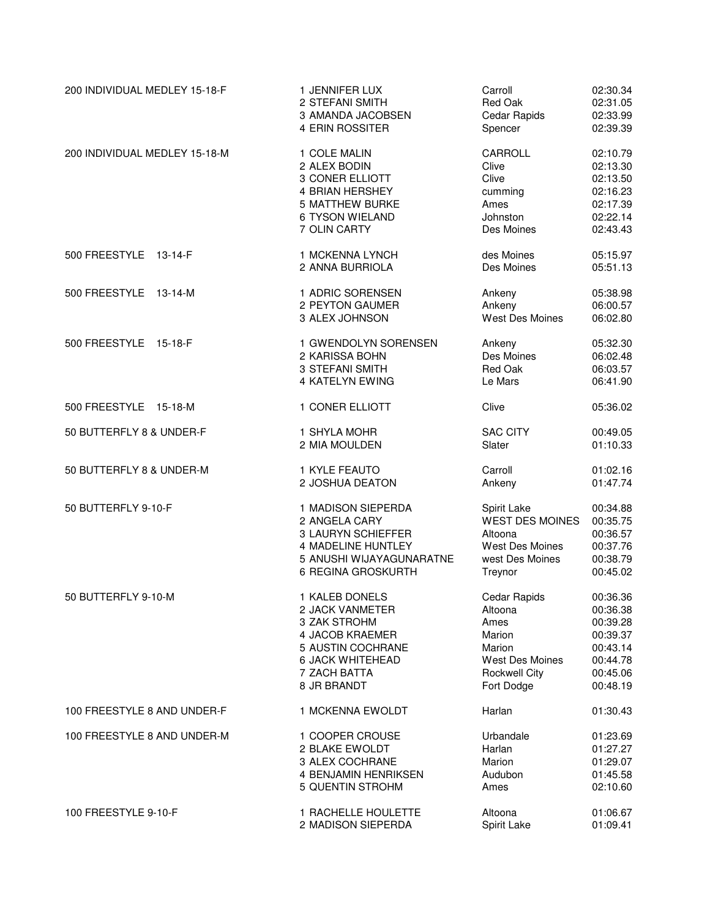| 200 INDIVIDUAL MEDLEY 15-18-F | 1 JENNIFER LUX                                        | Carroll                             | 02:30.34                         |
|-------------------------------|-------------------------------------------------------|-------------------------------------|----------------------------------|
|                               | 2 STEFANI SMITH                                       | Red Oak                             | 02:31.05                         |
|                               | 3 AMANDA JACOBSEN                                     | Cedar Rapids                        | 02:33.99                         |
|                               | 4 ERIN ROSSITER                                       | Spencer                             | 02:39.39                         |
| 200 INDIVIDUAL MEDLEY 15-18-M | 1 COLE MALIN                                          | CARROLL                             | 02:10.79                         |
|                               | 2 ALEX BODIN                                          | Clive                               | 02:13.30                         |
|                               | 3 CONER ELLIOTT                                       | Clive                               | 02:13.50                         |
|                               | 4 BRIAN HERSHEY                                       | cumming                             | 02:16.23                         |
|                               | <b>5 MATTHEW BURKE</b>                                | Ames                                | 02:17.39                         |
|                               | 6 TYSON WIELAND                                       | Johnston                            | 02:22.14                         |
|                               | 7 OLIN CARTY                                          | Des Moines                          | 02:43.43                         |
| 500 FREESTYLE 13-14-F         | 1 MCKENNA LYNCH                                       | des Moines                          | 05:15.97                         |
|                               | 2 ANNA BURRIOLA                                       | Des Moines                          | 05:51.13                         |
| 500 FREESTYLE<br>13-14-M      | 1 ADRIC SORENSEN<br>2 PEYTON GAUMER<br>3 ALEX JOHNSON | Ankeny<br>Ankeny<br>West Des Moines | 05:38.98<br>06:00.57<br>06:02.80 |
| 500 FREESTYLE 15-18-F         | 1 GWENDOLYN SORENSEN                                  | Ankeny                              | 05:32.30                         |
|                               | 2 KARISSA BOHN                                        | Des Moines                          | 06:02.48                         |
|                               | 3 STEFANI SMITH                                       | Red Oak                             | 06:03.57                         |
|                               | 4 KATELYN EWING                                       | Le Mars                             | 06:41.90                         |
| 500 FREESTYLE 15-18-M         | 1 CONER ELLIOTT                                       | Clive                               | 05:36.02                         |
| 50 BUTTERFLY 8 & UNDER-F      | 1 SHYLA MOHR                                          | <b>SAC CITY</b>                     | 00:49.05                         |
|                               | 2 MIA MOULDEN                                         | Slater                              | 01:10.33                         |
| 50 BUTTERFLY 8 & UNDER-M      | 1 KYLE FEAUTO                                         | Carroll                             | 01:02.16                         |
|                               | 2 JOSHUA DEATON                                       | Ankeny                              | 01:47.74                         |
| 50 BUTTERFLY 9-10-F           | 1 MADISON SIEPERDA                                    | Spirit Lake                         | 00:34.88                         |
|                               | 2 ANGELA CARY                                         | <b>WEST DES MOINES</b>              | 00:35.75                         |
|                               | 3 LAURYN SCHIEFFER                                    | Altoona                             | 00:36.57                         |
|                               | 4 MADELINE HUNTLEY                                    | West Des Moines                     | 00:37.76                         |
|                               | 5 ANUSHI WIJAYAGUNARATNE                              | west Des Moines                     | 00:38.79                         |
|                               | 6 REGINA GROSKURTH                                    | Treynor                             | 00:45.02                         |
| 50 BUTTERFLY 9-10-M           | 1 KALEB DONELS                                        | Cedar Rapids                        | 00:36.36                         |
|                               | 2 JACK VANMETER                                       | Altoona                             | 00:36.38                         |
|                               | 3 ZAK STROHM                                          | Ames                                | 00:39.28                         |
|                               | 4 JACOB KRAEMER                                       | Marion                              | 00:39.37                         |
|                               | 5 AUSTIN COCHRANE                                     | Marion                              | 00:43.14                         |
|                               | 6 JACK WHITEHEAD                                      | West Des Moines                     | 00:44.78                         |
|                               | 7 ZACH BATTA                                          | <b>Rockwell City</b>                | 00:45.06                         |
|                               | 8 JR BRANDT                                           | Fort Dodge                          | 00:48.19                         |
| 100 FREESTYLE 8 AND UNDER-F   | 1 MCKENNA EWOLDT                                      | Harlan                              | 01:30.43                         |
| 100 FREESTYLE 8 AND UNDER-M   | 1 COOPER CROUSE                                       | Urbandale                           | 01:23.69                         |
|                               | 2 BLAKE EWOLDT                                        | Harlan                              | 01:27.27                         |
|                               | 3 ALEX COCHRANE                                       | Marion                              | 01:29.07                         |
|                               | 4 BENJAMIN HENRIKSEN                                  | Audubon                             | 01:45.58                         |
|                               | 5 QUENTIN STROHM                                      | Ames                                | 02:10.60                         |
| 100 FREESTYLE 9-10-F          | 1 RACHELLE HOULETTE                                   | Altoona                             | 01:06.67                         |
|                               | 2 MADISON SIEPERDA                                    | Spirit Lake                         | 01:09.41                         |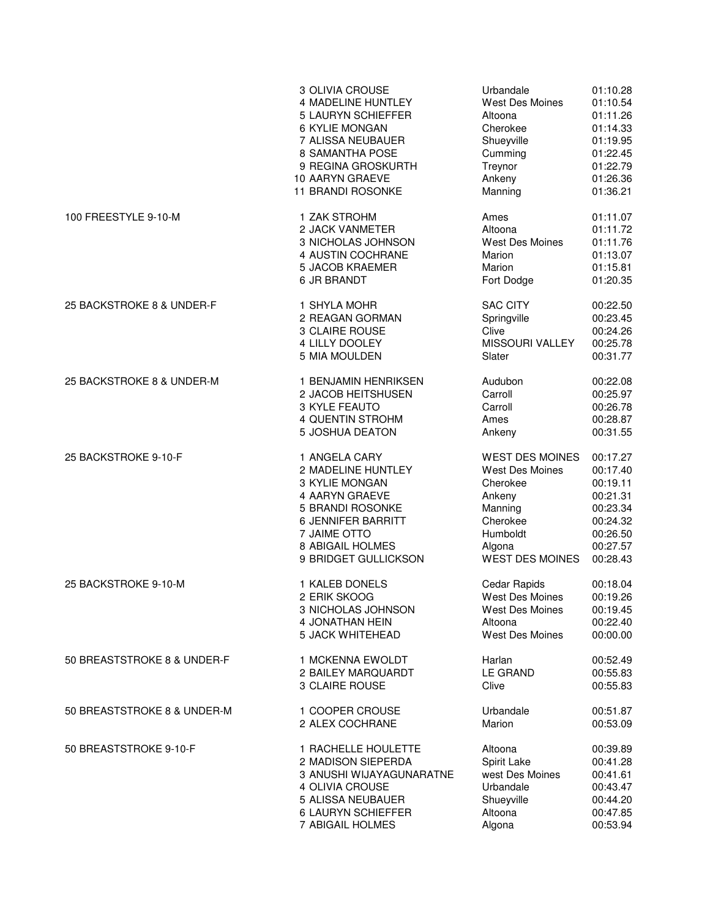|                             | 3 OLIVIA CROUSE          | Urbandale              | 01:10.28 |
|-----------------------------|--------------------------|------------------------|----------|
|                             | 4 MADELINE HUNTLEY       | West Des Moines        | 01:10.54 |
|                             | 5 LAURYN SCHIEFFER       | Altoona                | 01:11.26 |
|                             | 6 KYLIE MONGAN           | Cherokee               | 01:14.33 |
|                             | 7 ALISSA NEUBAUER        | Shueyville             | 01:19.95 |
|                             | 8 SAMANTHA POSE          | Cumming                | 01:22.45 |
|                             | 9 REGINA GROSKURTH       | Treynor                | 01:22.79 |
|                             | 10 AARYN GRAEVE          | Ankeny                 | 01:26.36 |
|                             | <b>11 BRANDI ROSONKE</b> | Manning                | 01:36.21 |
| 100 FREESTYLE 9-10-M        | 1 ZAK STROHM             | Ames                   | 01:11.07 |
|                             | 2 JACK VANMETER          | Altoona                | 01:11.72 |
|                             | 3 NICHOLAS JOHNSON       | West Des Moines        | 01:11.76 |
|                             | 4 AUSTIN COCHRANE        | Marion                 | 01:13.07 |
|                             | 5 JACOB KRAEMER          | Marion                 | 01:15.81 |
|                             | 6 JR BRANDT              | Fort Dodge             | 01:20.35 |
| 25 BACKSTROKE 8 & UNDER-F   | 1 SHYLA MOHR             | <b>SAC CITY</b>        | 00:22.50 |
|                             | 2 REAGAN GORMAN          | Springville            | 00:23.45 |
|                             | 3 CLAIRE ROUSE           | Clive                  | 00:24.26 |
|                             | 4 LILLY DOOLEY           | <b>MISSOURI VALLEY</b> | 00:25.78 |
|                             | 5 MIA MOULDEN            | Slater                 | 00:31.77 |
| 25 BACKSTROKE 8 & UNDER-M   | 1 BENJAMIN HENRIKSEN     | Audubon                | 00:22.08 |
|                             | 2 JACOB HEITSHUSEN       | Carroll                | 00:25.97 |
|                             | 3 KYLE FEAUTO            | Carroll                | 00:26.78 |
|                             | 4 QUENTIN STROHM         | Ames                   | 00:28.87 |
|                             | 5 JOSHUA DEATON          | Ankeny                 | 00:31.55 |
| 25 BACKSTROKE 9-10-F        | 1 ANGELA CARY            | <b>WEST DES MOINES</b> | 00:17.27 |
|                             | 2 MADELINE HUNTLEY       | West Des Moines        | 00:17.40 |
|                             | 3 KYLIE MONGAN           | Cherokee               | 00:19.11 |
|                             | 4 AARYN GRAEVE           | Ankeny                 | 00:21.31 |
|                             | 5 BRANDI ROSONKE         | Manning                | 00:23.34 |
|                             | 6 JENNIFER BARRITT       | Cherokee               | 00:24.32 |
|                             | 7 JAIME OTTO             | Humboldt               | 00:26.50 |
|                             | 8 ABIGAIL HOLMES         | Algona                 | 00:27.57 |
|                             | 9 BRIDGET GULLICKSON     | <b>WEST DES MOINES</b> | 00:28.43 |
| 25 BACKSTROKE 9-10-M        | 1 KALEB DONELS           | Cedar Rapids           | 00:18.04 |
|                             | 2 ERIK SKOOG             | <b>West Des Moines</b> | 00:19.26 |
|                             | 3 NICHOLAS JOHNSON       | West Des Moines        | 00:19.45 |
|                             | 4 JONATHAN HEIN          | Altoona                | 00:22.40 |
|                             | 5 JACK WHITEHEAD         | <b>West Des Moines</b> | 00:00.00 |
| 50 BREASTSTROKE 8 & UNDER-F | 1 MCKENNA EWOLDT         | Harlan                 | 00:52.49 |
|                             | 2 BAILEY MARQUARDT       | <b>LE GRAND</b>        | 00:55.83 |
|                             | 3 CLAIRE ROUSE           | Clive                  | 00:55.83 |
| 50 BREASTSTROKE 8 & UNDER-M | 1 COOPER CROUSE          | Urbandale              | 00:51.87 |
|                             | 2 ALEX COCHRANE          | Marion                 | 00:53.09 |
| 50 BREASTSTROKE 9-10-F      | 1 RACHELLE HOULETTE      | Altoona                | 00:39.89 |
|                             | 2 MADISON SIEPERDA       | Spirit Lake            | 00:41.28 |
|                             | 3 ANUSHI WIJAYAGUNARATNE | west Des Moines        | 00:41.61 |
|                             | 4 OLIVIA CROUSE          | Urbandale              | 00:43.47 |
|                             | 5 ALISSA NEUBAUER        | Shueyville             | 00:44.20 |
|                             | 6 LAURYN SCHIEFFER       | Altoona                | 00:47.85 |
|                             | 7 ABIGAIL HOLMES         | Algona                 | 00:53.94 |